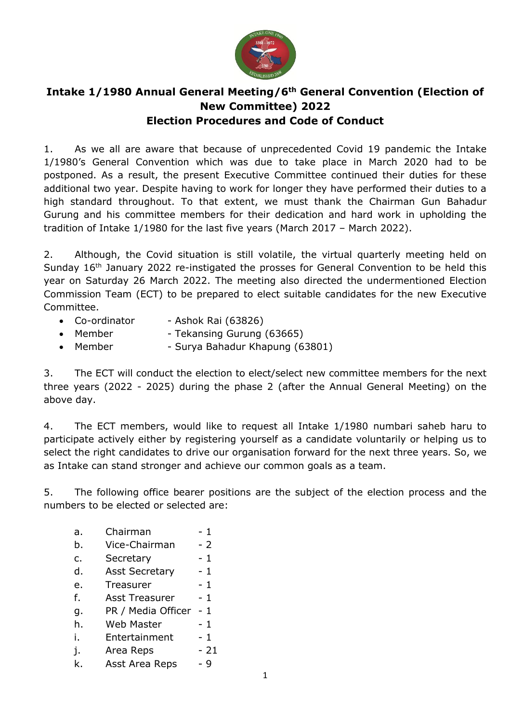

## **Intake 1/1980 Annual General Meeting/6th General Convention (Election of New Committee) 2022 Election Procedures and Code of Conduct**

1. As we all are aware that because of unprecedented Covid 19 pandemic the Intake 1/1980's General Convention which was due to take place in March 2020 had to be postponed. As a result, the present Executive Committee continued their duties for these additional two year. Despite having to work for longer they have performed their duties to a high standard throughout. To that extent, we must thank the Chairman Gun Bahadur Gurung and his committee members for their dedication and hard work in upholding the tradition of Intake 1/1980 for the last five years (March 2017 – March 2022).

2. Although, the Covid situation is still volatile, the virtual quarterly meeting held on Sunday 16<sup>th</sup> January 2022 re-instigated the prosses for General Convention to be held this year on Saturday 26 March 2022. The meeting also directed the undermentioned Election Commission Team (ECT) to be prepared to elect suitable candidates for the new Executive Committee.

- Co-ordinator Ashok Rai (63826)
- Member Tekansing Gurung (63665)
- Member Surya Bahadur Khapung (63801)

3. The ECT will conduct the election to elect/select new committee members for the next three years (2022 - 2025) during the phase 2 (after the Annual General Meeting) on the above day.

4. The ECT members, would like to request all Intake 1/1980 numbari saheb haru to participate actively either by registering yourself as a candidate voluntarily or helping us to select the right candidates to drive our organisation forward for the next three years. So, we as Intake can stand stronger and achieve our common goals as a team.

5. The following office bearer positions are the subject of the election process and the numbers to be elected or selected are:

- a. Chairman 1 b. Vice-Chairman - 2 c. Secretary - 1 d. Asst Secretary - 1 e. Treasurer - 1
- f. Asst Treasurer 1
- g. PR / Media Officer 1
- h. Web Master 1
- i. Entertainment 1
- i. Area Reps 21
- k. Asst Area Reps 9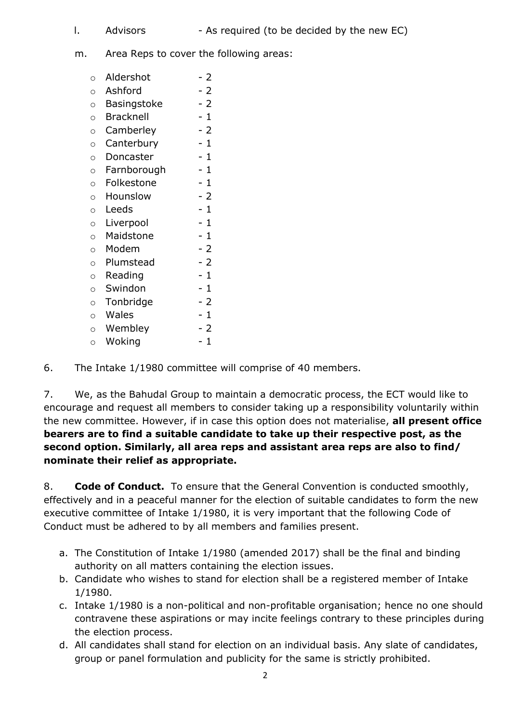- 
- l. Advisors As required (to be decided by the new EC)
- m. Area Reps to cover the following areas:
	- o Aldershot 2  $\circ$  Ashford - 2 o Basingstoke - 2  $\circ$  Bracknell  $-1$  $\circ$  Camberley - 2  $\circ$  Canterbury - 1 o Doncaster - 1  $\circ$  Farnborough  $-1$ o Folkestone - 1 o Hounslow - 2  $\circ$  Leeds - 1  $\circ$  Liverpool - 1 o Maidstone - 1 o Modem - 2 o Plumstead - 2  $\circ$  Reading  $-1$  $\circ$  Swindon  $-1$  $\circ$  Tonbridge - 2  $\circ$  Wales - 1  $\circ$  Wembley - 2  $\circ$  Woking - 1

6. The Intake 1/1980 committee will comprise of 40 members.

7. We, as the Bahudal Group to maintain a democratic process, the ECT would like to encourage and request all members to consider taking up a responsibility voluntarily within the new committee. However, if in case this option does not materialise, **all present office bearers are to find a suitable candidate to take up their respective post, as the second option. Similarly, all area reps and assistant area reps are also to find/ nominate their relief as appropriate.**

8. **Code of Conduct.** To ensure that the General Convention is conducted smoothly, effectively and in a peaceful manner for the election of suitable candidates to form the new executive committee of Intake 1/1980, it is very important that the following Code of Conduct must be adhered to by all members and families present.

- a. The Constitution of Intake 1/1980 (amended 2017) shall be the final and binding authority on all matters containing the election issues.
- b. Candidate who wishes to stand for election shall be a registered member of Intake 1/1980.
- c. Intake 1/1980 is a non-political and non-profitable organisation; hence no one should contravene these aspirations or may incite feelings contrary to these principles during the election process.
- d. All candidates shall stand for election on an individual basis. Any slate of candidates, group or panel formulation and publicity for the same is strictly prohibited.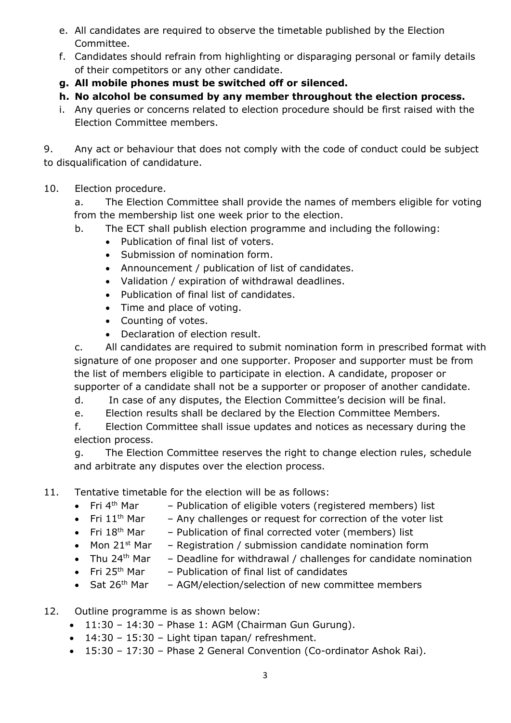- e. All candidates are required to observe the timetable published by the Election Committee.
- f. Candidates should refrain from highlighting or disparaging personal or family details of their competitors or any other candidate.
- **g. All mobile phones must be switched off or silenced.**
- **h. No alcohol be consumed by any member throughout the election process.**
- i. Any queries or concerns related to election procedure should be first raised with the Election Committee members.

9. Any act or behaviour that does not comply with the code of conduct could be subject to disqualification of candidature.

10. Election procedure.

a. The Election Committee shall provide the names of members eligible for voting from the membership list one week prior to the election.

- b. The ECT shall publish election programme and including the following:
	- Publication of final list of voters.
	- Submission of nomination form.
	- Announcement / publication of list of candidates.
	- Validation / expiration of withdrawal deadlines.
	- Publication of final list of candidates.
	- Time and place of voting.
	- Counting of votes.
	- Declaration of election result.

c. All candidates are required to submit nomination form in prescribed format with signature of one proposer and one supporter. Proposer and supporter must be from the list of members eligible to participate in election. A candidate, proposer or supporter of a candidate shall not be a supporter or proposer of another candidate.

d. In case of any disputes, the Election Committee's decision will be final.

e. Election results shall be declared by the Election Committee Members.

f. Election Committee shall issue updates and notices as necessary during the election process.

g. The Election Committee reserves the right to change election rules, schedule and arbitrate any disputes over the election process.

- 11. Tentative timetable for the election will be as follows:
	- Fri 4<sup>th</sup> Mar - Publication of eligible voters (registered members) list
	- Fri  $11<sup>th</sup>$  Mar - Any challenges or request for correction of the voter list
	- Fri  $18<sup>th</sup>$  Mar - Publication of final corrected voter (members) list
	- Mon  $21^{st}$  Mar - Registration / submission candidate nomination form
	- Thu  $24^{\text{th}}$  Mar - Deadline for withdrawal / challenges for candidate nomination
	- Fri 25<sup>th</sup> Mar - Publication of final list of candidates
	- $\bullet$  Sat 26<sup>th</sup> Mar - AGM/election/selection of new committee members
- 12. Outline programme is as shown below:
	- $\bullet$  11:30 14:30 Phase 1: AGM (Chairman Gun Gurung).
	- $\bullet$  14:30 15:30 Light tipan tapan/ refreshment.
	- 15:30 17:30 Phase 2 General Convention (Co-ordinator Ashok Rai).